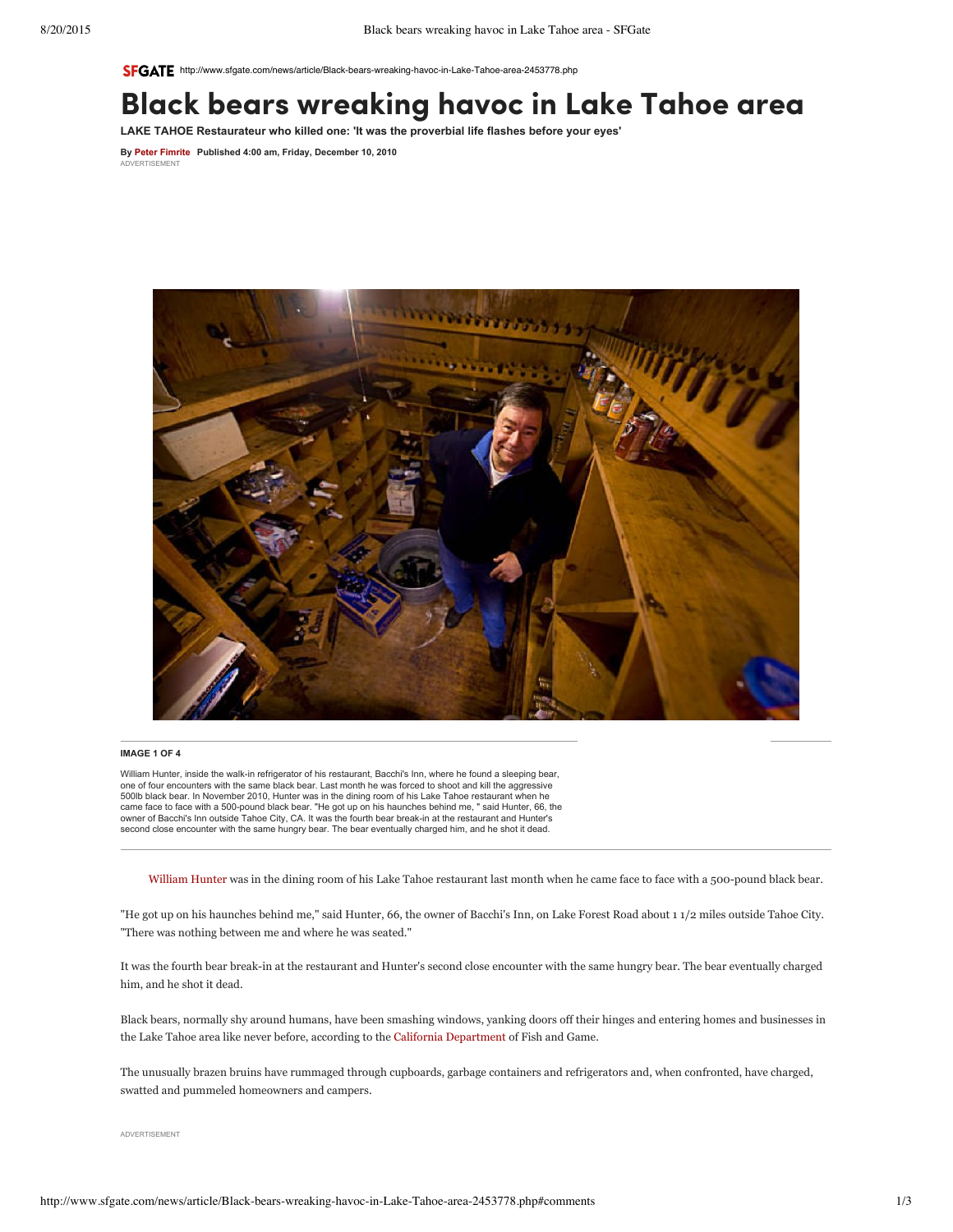SFGATE http://www.sfgate.com/ne[ws/article/Black](http://adinfo.aol.com/)-bears-wreaking-havoc-in-Lake-Tahoe-area-2453778.php

# Black [bears](http://contextualads.yahoo.net/Bipolar_Disorder_Symptoms.cfm?&vsid=799828021459372&vi=1440094721256893506&dytm=1440094724086&rtbsd=10&verid=111299&hvsid=00001440094723651004161145932312&upk=1440094724.7616&sttm=1440094723651&=&kp=1&kbc=1200835188&bdrid=4&subBdr=33&kt=284&ki=3711158&ktd=1372190545150208&kbc2=||l=1016||&fdkt=284&oref=http%3A%2F%2Fwww.sfgate.com&fp=Ick8E9b9LrJHGD4DF6H%2F%2FnowigMHx1RSAcHuxaMYryAEwk2n0NVYPW%2BqKmmfUaKWT81D%2Fo8%2FP56hcO3a8VNJihKrMH2yh1JgH9yc3AFy38olosNrmmDAAwxIAt7Mt9em&c=EfGGxcfQB890ph12xzCCBw&cme=i3UZN5g63naty97sMQ%2BFJRtt3MeI5SQiQPTpqL6JrUany3rRf5ErqmmWeQF4Hi%2BBQKAPIecig3AHMgvwPQ6jintOP%2FzQkvfmalfDIWVXyVpVFzSvv28NiK8fmxTqjek65jZbjs2CW5aP8gv8l1lMsicAJOYs644CcZJZsa%2BI40rFrhstAyjKRA%3D%3D%7C%7CNDHRnZ9Gz3KXlI%2Bi9OnZqQ%3D%3D%7C5gDUJdTGiJzedmq9hanWYg%3D%3D%7CN7fu2vKt8%2Fs%3D%7C11GkkzbJRcwl9rNyGQPWiL%2BPXnDqHrznZ8fB4C92wUbjk1EkvubxSHHkxMeXfTySTu9DfNI7b1lUr9BrlYLpEzvIqtENCp6Pix%2F9HO1enHGl096zE8fts5gHpYIwdj%2Fr%7CJf0d%2BWoAdPty5W75A7SJ0LzHJvMUOw86gAgPXJGoSYQ%3D%7Ckmm6Z1oglruOoEXYEZQMvTkJpRZ0OE8q9HnMhw82QuUzeCs9a%2Fs8D%2BGC2OorgsvaPlzKRUyMPIQ%3D%7C&cid=8CUUU56G2&crid=207264117&size=300x250&lpid=&tsid=1&ksu=135&chid=&https=0&extKwds=0&kwdsMaxTm=400&ugd=4&maxProviderPixel=&rms=1440094724&&abpl=2) wreaking havoc in Lake Tahoe area

**LAKE TAHOE [Restaurateur](http://contextualads.yahoo.net/Type_2_Diabetes_Cures.cfm?&vsid=799828021459372&vi=1440094721256893506&dytm=1440094724086&rtbsd=10&verid=111299&hvsid=00001440094723651004161145932312&upk=1440094724.7616&sttm=1440094723651&=&tdAdd[]=%7C%40%7Cabp%3A3%3A2&kp=2&kbc=1200835188&bdrid=4&subBdr=33&kt=284&ki=174846902&ktd=1372190545150208&kbc2=||l=1016||&fdkt=284&oref=http%3A%2F%2Fwww.sfgate.com&fp=Ick8E9b9LrJHGD4DF6H%2F%2FnowigMHx1RSAcHuxaMYryAEwk2n0NVYPW%2BqKmmfUaKWT81D%2Fo8%2FP56hcO3a8VNJihKrMH2yh1JgH9yc3AFy38olosNrmmDAAwxIAt7Mt9em&c=EfGGxcfQB890ph12xzCCBw&cme=i3UZN5g63naty97sMQ%2BFJRtt3MeI5SQiQPTpqL6JrUany3rRf5ErqmmWeQF4Hi%2BBQKAPIecig3AHMgvwPQ6jintOP%2FzQkvfmalfDIWVXyVpVFzSvv28NiK8fmxTqjek65jZbjs2CW5aP8gv8l1lMsicAJOYs644CcZJZsa%2BI40rFrhstAyjKRA%3D%3D%7C%7CNDHRnZ9Gz3KXlI%2Bi9OnZqQ%3D%3D%7C5gDUJdTGiJzedmq9hanWYg%3D%3D%7CN7fu2vKt8%2Fs%3D%7C11GkkzbJRcwl9rNyGQPWiL%2BPXnDqHrznZ8fB4C92wUbjk1EkvubxSHHkxMeXfTySTu9DfNI7b1lUr9BrlYLpEzvIqtENCp6Pix%2F9HO1enHGl096zE8fts5gHpYIwdj%2Fr%7CJf0d%2BWoAdPty5W75A7SJ0LzHJvMUOw86gAgPXJGoSYQ%3D%7Ckmm6Z1oglruOoEXYEZQMvTkJpRZ0OE8q9HnMhw82QuUzeCs9a%2Fs8D%2BGC2OorgsvaPlzKRUyMPIQ%3D%7C&cid=8CUUU56G2&crid=207264117&size=300x250&lpid=&tsid=1&ksu=135&chid=&https=0&extKwds=0&kwdsMaxTm=400&ugd=4&maxProviderPixel=&rms=1440094724&&abpl=2) who killed one: 'It was the proverbial life flashes before your eyes'**

**By Peter [Fimrite](http://www.sfgate.com/author/peter-fimrite/) Published 4:00 am, Friday, December 10, 2010** VERTISEMENT



#### **IMAGE 1 OF 4**

William Hunter, inside the walk-in refrigerator of his restaurant, Bacchi's Inn, where he found a sleeping bear,<br>one of four encounters with the same black bear. Last month he was forced to shoot and kill the aggressive 500lb black bear. In November 2010, Hunter was in the dining room of his Lake Tahoe restaurant when he came face to face with a 500-pound black bear. "He got up on his haunches behind me, " said Hunter, 66, the<br>owner of Bacchi's Inn outside Tahoe City, CA. It was the fourth bear break-in at the restaurant and Hunter's second close encounter with the same hungry bear. The bear eventually charged him, and he shot it dead.

[William](http://www.sfgate.com/search/?action=search&channel=news&inlineLink=1&searchindex=gsa&query=%22William+Hunter%22) Hunter was in the dining room of his Lake Tahoe restaurant last month when he came face to face with a 500-pound black bear.

"He got up on his haunches behind me," said Hunter, 66, the owner of Bacchi's Inn, on Lake Forest Road about 1 1/2 miles outside Tahoe City. "There was nothing between me and where he was seated."

It was the fourth bear break-in at the restaurant and Hunter's second close encounter with the same hungry bear. The bear eventually charged him, and he shot it dead.

Black bears, normally shy around humans, have been smashing windows, yanking doors off their hinges and entering homes and businesses in the Lake Tahoe area like never before, according to the California [Department](http://www.sfgate.com/search/?action=search&channel=news&inlineLink=1&searchindex=gsa&query=%22California+Department%22) of Fish and Game.

The unusually brazen bruins have rummaged through cupboards, garbage containers and refrigerators and, when confronted, have charged, swatted and pummeled homeowners and campers.

ADVERTISEMENT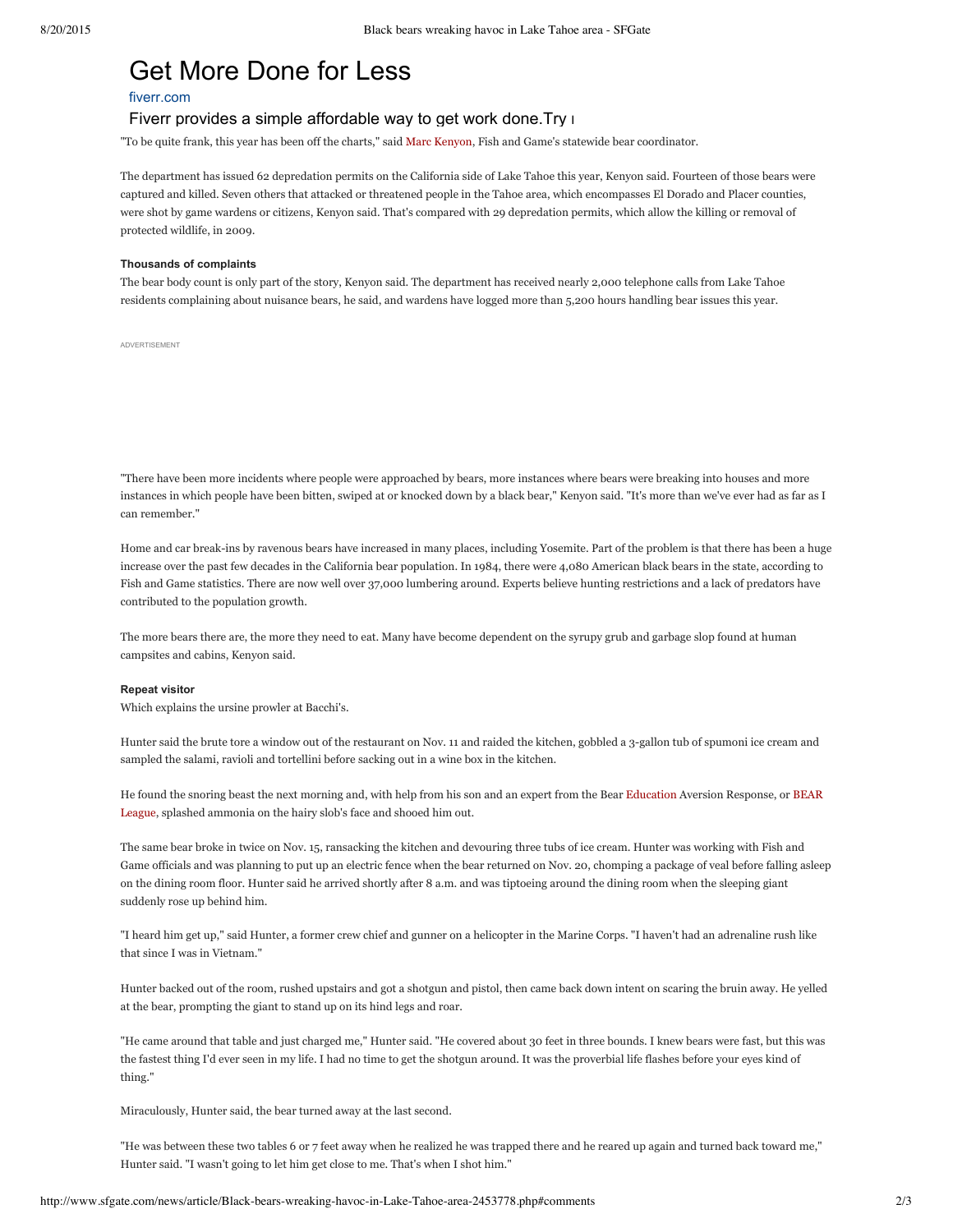## Get More [Done](http://www.googleadservices.com/pagead/aclk?sa=L&ai=CpH4WAxrWVaaiC87JhASgm4lom8mgnAiLjMDa5gGQ3Kn32AIQASDt0pshYMnuhou8pLAZoAGdyq7NA8gBAagDAcgDwwSqBMMBT9CI6MuZVX89TBOLstMh2v5ObkJJozSkLujdifbK_2gkyTKq8Epg7osUbx085e52wDCXKv4qJZ4IhXDRLw8EgWNiHc8yHA1WDX8jNqFcpKmpXmp2RRBFUENoY2kId39DMKR-fKUI5Q4rr_teD1Gtv-mRUP--F6A0TokyyEk9DSBVh5KeeWKdmSSTjK5484fhNs63YXo_wj2WJHSqaL1vDp7BVf8CyWANrkHysUI1yYxvx-exMPYDlPXF-3unrpvwCIONiAYBgAfLtdEyqAemvhvYBwE&num=1&cid=5Gjgmh-C_KHuZ6kZwZ5Eb_nc&sig=AOD64_1YwzsgIeoR8dKWgBPy4Af8f0VJ0w&client=ca-pub-8415620659137418&adurl=https://www.fiverr.com/%3Fu_sou%3Dgoogle%26u_med%3Ddisplay%26u_cam%3Drm-Retention-Bought-From-Graphic-and-design) for Less

## [fiverr.com](http://www.googleadservices.com/pagead/aclk?sa=L&ai=CpH4WAxrWVaaiC87JhASgm4lom8mgnAiLjMDa5gGQ3Kn32AIQASDt0pshYMnuhou8pLAZoAGdyq7NA8gBAagDAcgDwwSqBMMBT9CI6MuZVX89TBOLstMh2v5ObkJJozSkLujdifbK_2gkyTKq8Epg7osUbx085e52wDCXKv4qJZ4IhXDRLw8EgWNiHc8yHA1WDX8jNqFcpKmpXmp2RRBFUENoY2kId39DMKR-fKUI5Q4rr_teD1Gtv-mRUP--F6A0TokyyEk9DSBVh5KeeWKdmSSTjK5484fhNs63YXo_wj2WJHSqaL1vDp7BVf8CyWANrkHysUI1yYxvx-exMPYDlPXF-3unrpvwCIONiAYBgAfLtdEyqAemvhvYBwE&num=1&cid=5Gjgmh-C_KHuZ6kZwZ5Eb_nc&sig=AOD64_1YwzsgIeoR8dKWgBPy4Af8f0VJ0w&client=ca-pub-8415620659137418&adurl=https://www.fiverr.com/%3Fu_sou%3Dgoogle%26u_med%3Ddisplay%26u_cam%3Drm-Retention-Bought-From-Graphic-and-design)

## Fiverr provides a simple affordable way to get work done. Try now.

"To be quite frank, this year has been off the charts," said Marc [Kenyon,](http://www.sfgate.com/search/?action=search&channel=news&inlineLink=1&searchindex=gsa&query=%22Marc+Kenyon%22) Fish and Game's statewide bear coordinator.

The department has issued 62 depredation permits on the California side of Lake Tahoe this year, Kenyon said. Fourteen of those bears were captured and killed. Seven others that attacked or threatened people in the Tahoe area, which encompasses El Dorado and Placer counties, were shot by game wardens or citizens, Kenyon said. That's compared with 29 depredation permits, which allow the killing or removal of protected wildlife, in 2009.

#### **Thousands of complaints**

The bear body count is only part of the story, Kenyon said. The department has received nearly 2,000 telephone calls from Lake Tahoe residents complaining about nuisance bears, he said, and wardens have logged more than 5,200 hours handling bear issues this year.

ADVERTISEMENT

"There have been more incidents where people were approached by bears, more instances where bears were breaking into houses and more instances in which people have been bitten, swiped at or knocked down by a black bear," Kenyon said. "It's more than we've ever had as far as I can remember."

Home and car break-ins by ravenous bears have increased in many places, including Yosemite. Part of the problem is that there has been a huge increase over the past few decades in the California bear population. In 1984, there were 4,080 American black bears in the state, according to Fish and Game statistics. There are now well over 37,000 lumbering around. Experts believe hunting restrictions and a lack of predators have contributed to the population growth.

The more bears there are, the more they need to eat. Many have become dependent on the syrupy grub and garbage slop found at human campsites and cabins, Kenyon said.

### **Repeat visitor**

Which explains the ursine prowler at Bacchi's.

Hunter said the brute tore a window out of the restaurant on Nov. 11 and raided the kitchen, gobbled a 3-gallon tub of spumoni ice cream and sampled the salami, ravioli and tortellini before sacking out in a wine box in the kitchen.

He found the snoring beast the next morning and, with help from his son and an expert from the Bear [Education](http://www.sfgate.com/education-guide/) Aversion Response, or BEAR League, splashed ammonia on the hairy slob's face and shooed him out.

The same bear broke in twice on Nov. 15, ransacking the kitchen and devouring three tubs of ice cream. Hunter was working with Fish and Game officials and was planning to put up an electric fence when the bear returned on Nov. 20, chomping a package of veal before falling asleep on the dining room floor. Hunter said he arrived shortly after 8 a.m. and was tiptoeing around the dining room when the sleeping giant suddenly rose up behind him.

"I heard him get up," said Hunter, a former crew chief and gunner on a helicopter in the Marine Corps. "I haven't had an adrenaline rush like that since I was in Vietnam."

Hunter backed out of the room, rushed upstairs and got a shotgun and pistol, then came back down intent on scaring the bruin away. He yelled at the bear, prompting the giant to stand up on its hind legs and roar.

"He came around that table and just charged me," Hunter said. "He covered about 30 feet in three bounds. I knew bears were fast, but this was the fastest thing I'd ever seen in my life. I had no time to get the shotgun around. It was the proverbial life flashes before your eyes kind of thing."

Miraculously, Hunter said, the bear turned away at the last second.

"He was between these two tables 6 or 7 feet away when he realized he was trapped there and he reared up again and turned back toward me," Hunter said. "I wasn't going to let him get close to me. That's when I shot him."